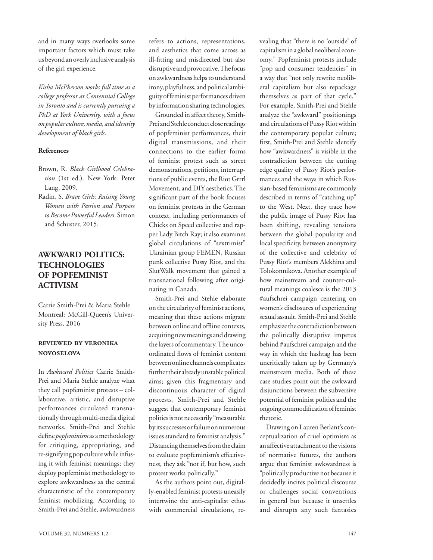and in many ways overlooks some important factors which must take us beyond an overly inclusive analysis of the girl experience.

*Kisha McPherson works full time as a college professor at Centennial College in Toronto and is currently pursuing a PhD at York University, with a focus on popular culture, media, and identity development of black girls.* 

#### **References**

- Brown, R. *Black Girlhood Celebration* (1st ed.). New York: Peter Lang, 2009.
- Radin, S. *Brave Girls: Raising Young Women with Passion and Purpose to Become Powerful Leaders*. Simon and Schuster, 2015.

## **AWKWARD POLITICS: TECHNOLOGIES OF POPFEMINIST ACTIVISM**

Carrie Smith-Prei & Maria Stehle Montreal: McGill-Queen's University Press, 2016

### **reviewed by veronika novoselova**

In *Awkward Politics* Carrie Smith-Prei and Maria Stehle analyze what they call popfeminist protests – collaborative, artistic, and disruptive performances circulated transnationally through multi-media digital networks. Smith-Prei and Stehle define *popfeminism* as a methodology for critiquing, appropriating, and re-signifying pop culture while infusing it with feminist meanings; they deploy popfeminist methodology to explore awkwardness as the central characteristic of the contemporary feminist mobilizing. According to Smith-Prei and Stehle, awkwardness refers to actions, representations, and aesthetics that come across as ill-fitting and misdirected but also disruptive and provocative. The focus on awkwardness helps to understand irony, playfulness, and political ambiguity of feminist performances driven by information sharing technologies.

Grounded in affect theory, Smith-Prei and Stehle conduct close readings of popfeminist performances, their digital transmissions, and their connections to the earlier forms of feminist protest such as street demonstrations, petitions, interruptions of public events, the Riot Grrrl Movement, and DIY aesthetics. The significant part of the book focuses on feminist protests in the German context, including performances of Chicks on Speed collective and rapper Lady Bitch Ray; it also examines global circulations of "sextrimist" Ukrainian group FEMEN, Russian punk collective Pussy Riot, and the SlutWalk movement that gained a transnational following after originating in Canada.

Smith-Prei and Stehle elaborate on the circularity of feminist actions, meaning that these actions migrate between online and offline contexts, acquiring new meanings and drawing the layers of commentary. The uncoordinated flows of feminist content between online channels complicates further their already unstable political aims; given this fragmentary and discontinuous character of digital protests, Smith-Prei and Stehle suggest that contemporary feminist politics is not necessarily "measurable by its successes or failure on numerous issues standard to feminist analysis." Distancing themselves from the claim to evaluate popfeminism's effectiveness, they ask "not if, but how, such protest works politically."

As the authors point out, digitally-enabled feminist protests uneasily intertwine the anti-capitalist ethos with commercial circulations, revealing that "there is no 'outside' of capitalism in a global neoliberal economy." Popfeminist protests include "pop and consumer tendencies" in a way that "not only rewrite neoliberal capitalism but also repackage themselves as part of that cycle." For example, Smith-Prei and Stehle analyze the "awkward" positionings and circulations of Pussy Riot within the contemporary popular culture; first, Smith-Prei and Stehle identify how "awkwardness" is visible in the contradiction between the cutting edge quality of Pussy Riot's performances and the ways in which Russian-based feminisms are commonly described in terms of "catching up" to the West. Next, they trace how the public image of Pussy Riot has been shifting, revealing tensions between the global popularity and local specificity, between anonymity of the collective and celebrity of Pussy Riot's members Alekhina and Tolokonnikova. Another example of how mainstream and counter-cultural meanings coalesce is the 2013 #aufschrei campaign centering on women's disclosures of experiencing sexual assault. Smith-Prei and Stehle emphasize the contradiction between the politically disruptive impetus behind #aufschrei campaign and the way in which the hashtag has been uncritically taken up by Germany's mainstream media. Both of these case studies point out the awkward disjunctions between the subversive potential of feminist politics and the ongoing commodification of feminist rhetoric.

Drawing on Lauren Berlant's conceptualization of cruel optimism as an affective attachment to the visions of normative futures, the authors argue that feminist awkwardness is "politically productive not because it decidedly incites political discourse or challenges social conventions in general but because it unsettles and disrupts any such fantasies